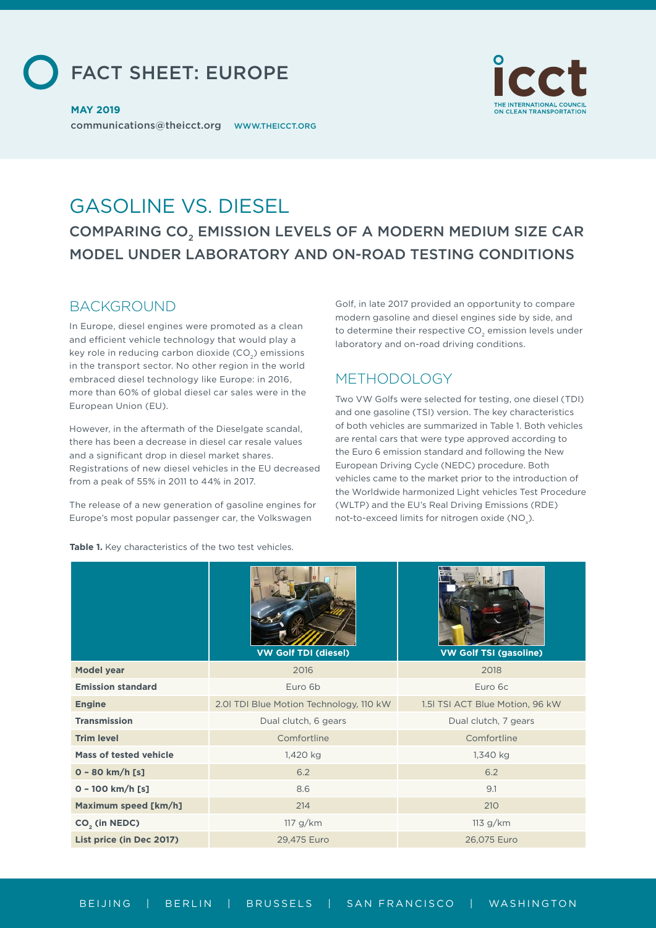FACT SHEET: EUROPE



communications@theicct.org WWW.THEICCT.ORG **MAY 2019**

# GASOLINE VS. DIESEL COMPARING CO<sub>2</sub> EMISSION LEVELS OF A MODERN MEDIUM SIZE CAR MODEL UNDER LABORATORY AND ON-ROAD TESTING CONDITIONS

### **BACKGROUND**

In Europe, diesel engines were promoted as a clean and efficient vehicle technology that would play a key role in reducing carbon dioxide (CO<sub>2</sub>) emissions in the transport sector. No other region in the world embraced diesel technology like Europe: in 2016, more than 60% of global diesel car sales were in the European Union (EU).

However, in the aftermath of the Dieselgate scandal, there has been a decrease in diesel car resale values and a significant drop in diesel market shares. Registrations of new diesel vehicles in the EU decreased from a peak of 55% in 2011 to 44% in 2017.

The release of a new generation of gasoline engines for Europe's most popular passenger car, the Volkswagen

Golf, in late 2017 provided an opportunity to compare modern gasoline and diesel engines side by side, and to determine their respective CO<sub>2</sub> emission levels under laboratory and on-road driving conditions.

## METHODOLOGY

Two VW Golfs were selected for testing, one diesel (TDI) and one gasoline (TSI) version. The key characteristics of both vehicles are summarized in Table 1. Both vehicles are rental cars that were type approved according to the Euro 6 emission standard and following the New European Driving Cycle (NEDC) procedure. Both vehicles came to the market prior to the introduction of the Worldwide harmonized Light vehicles Test Procedure (WLTP) and the EU's Real Driving Emissions (RDE) not-to-exceed limits for nitrogen oxide (NO $_{\mathrm{x}}$ ).

**Table 1.** Key characteristics of the two test vehicles.

|                               | <b>VW Golf TDI (diesel)</b>             | <b>VW Golf TSI (gasoline)</b>   |
|-------------------------------|-----------------------------------------|---------------------------------|
| <b>Model year</b>             | 2016                                    | 2018                            |
| <b>Emission standard</b>      | Euro 6b                                 | Euro 6c                         |
| <b>Engine</b>                 | 2.01 TDI Blue Motion Technology, 110 kW | 1.51 TSI ACT Blue Motion, 96 kW |
| <b>Transmission</b>           | Dual clutch, 6 gears                    | Dual clutch, 7 gears            |
| <b>Trim level</b>             | Comfortline                             | Comfortline                     |
| <b>Mass of tested vehicle</b> | 1,420 kg                                | 1,340 kg                        |
| $0 - 80$ km/h [s]             | 6.2                                     | 6.2                             |
| $0 - 100$ km/h [s]            | 8.6                                     | 9.1                             |
| Maximum speed [km/h]          | 214                                     | 210                             |
| CO <sub>2</sub> (in NEDC)     | 117 g/km                                | 113 g/km                        |
| List price (in Dec 2017)      | 29,475 Euro                             | 26,075 Euro                     |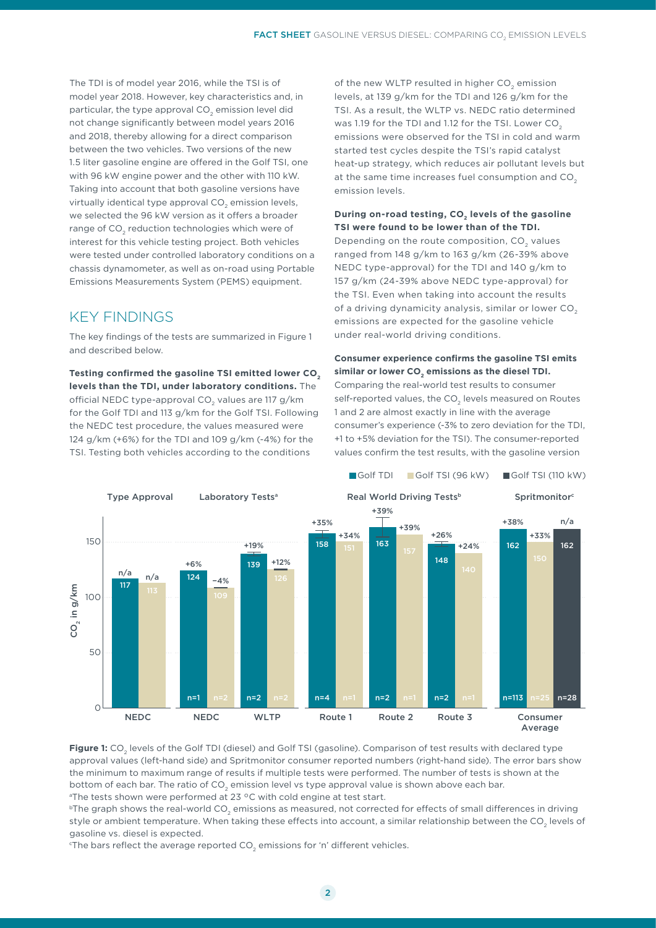The TDI is of model year 2016, while the TSI is of model year 2018. However, key characteristics and, in particular, the type approval CO<sub>2</sub> emission level did not change significantly between model years 2016 and 2018, thereby allowing for a direct comparison between the two vehicles. Two versions of the new 1.5 liter gasoline engine are offered in the Golf TSI, one with 96 kW engine power and the other with 110 kW. Taking into account that both gasoline versions have virtually identical type approval CO<sub>2</sub> emission levels, we selected the 96 kW version as it offers a broader range of CO<sub>2</sub> reduction technologies which were of interest for this vehicle testing project. Both vehicles were tested under controlled laboratory conditions on a chassis dynamometer, as well as on-road using Portable Emissions Measurements System (PEMS) equipment.

## KEY FINDINGS

The key findings of the tests are summarized in Figure 1 and described below.

**Testing confirmed the gasoline TSI emitted lower CO2 levels than the TDI, under laboratory conditions.** The official NEDC type-approval CO<sub>2</sub> values are 117 g/km for the Golf TDI and 113 g/km for the Golf TSI. Following the NEDC test procedure, the values measured were 124 g/km (+6%) for the TDI and 109 g/km (-4%) for the TSI. Testing both vehicles according to the conditions

of the new WLTP resulted in higher CO<sub>2</sub> emission levels, at 139 g/km for the TDI and 126 g/km for the TSI. As a result, the WLTP vs. NEDC ratio determined was 1.19 for the TDI and 1.12 for the TSI. Lower CO<sub>2</sub> emissions were observed for the TSI in cold and warm started test cycles despite the TSI's rapid catalyst heat-up strategy, which reduces air pollutant levels but at the same time increases fuel consumption and CO<sub>2</sub> emission levels.

#### **During on-road testing, CO<sub>2</sub> levels of the gasoline TSI were found to be lower than of the TDI.**

Depending on the route composition, CO<sub>2</sub> values ranged from 148 g/km to 163 g/km (26-39% above NEDC type-approval) for the TDI and 140 g/km to 157 g/km (24-39% above NEDC type-approval) for the TSI. Even when taking into account the results of a driving dynamicity analysis, similar or lower  $CO<sub>2</sub>$ emissions are expected for the gasoline vehicle under real-world driving conditions.

#### **Consumer experience confirms the gasoline TSI emits**  similar or lower CO<sub>2</sub> emissions as the diesel TDI.

Comparing the real-world test results to consumer self-reported values, the CO<sub>2</sub> levels measured on Routes 1 and 2 are almost exactly in line with the average consumer's experience (-3% to zero deviation for the TDI, +1 to +5% deviation for the TSI). The consumer-reported values confirm the test results, with the gasoline version



Figure 1: CO<sub>2</sub> levels of the Golf TDI (diesel) and Golf TSI (gasoline). Comparison of test results with declared type approval values (left-hand side) and Spritmonitor consumer reported numbers (right-hand side). The error bars show the minimum to maximum range of results if multiple tests were performed. The number of tests is shown at the bottom of each bar. The ratio of CO<sub>2</sub> emission level vs type approval value is shown above each bar. <sup>a</sup>The tests shown were performed at 23 °C with cold engine at test start.

<sup>b</sup>The graph shows the real-world CO<sub>2</sub> emissions as measured, not corrected for effects of small differences in driving style or ambient temperature. When taking these effects into account, a similar relationship between the CO<sub>2</sub> levels of gasoline vs. diesel is expected.

 $\,^{\rm c}$ The bars reflect the average reported CO $_2$  emissions for 'n' different vehicles.